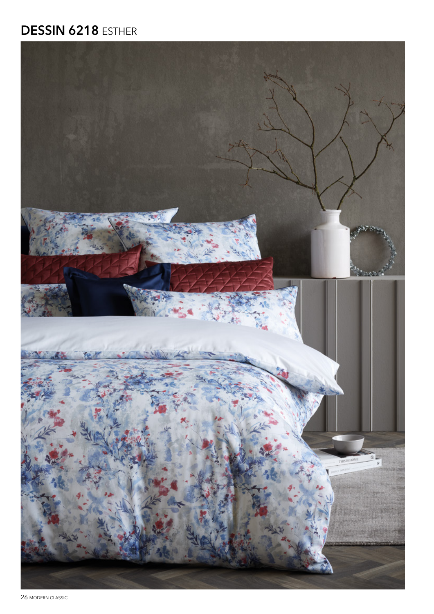## **DESSIN 6218 ESTHER**